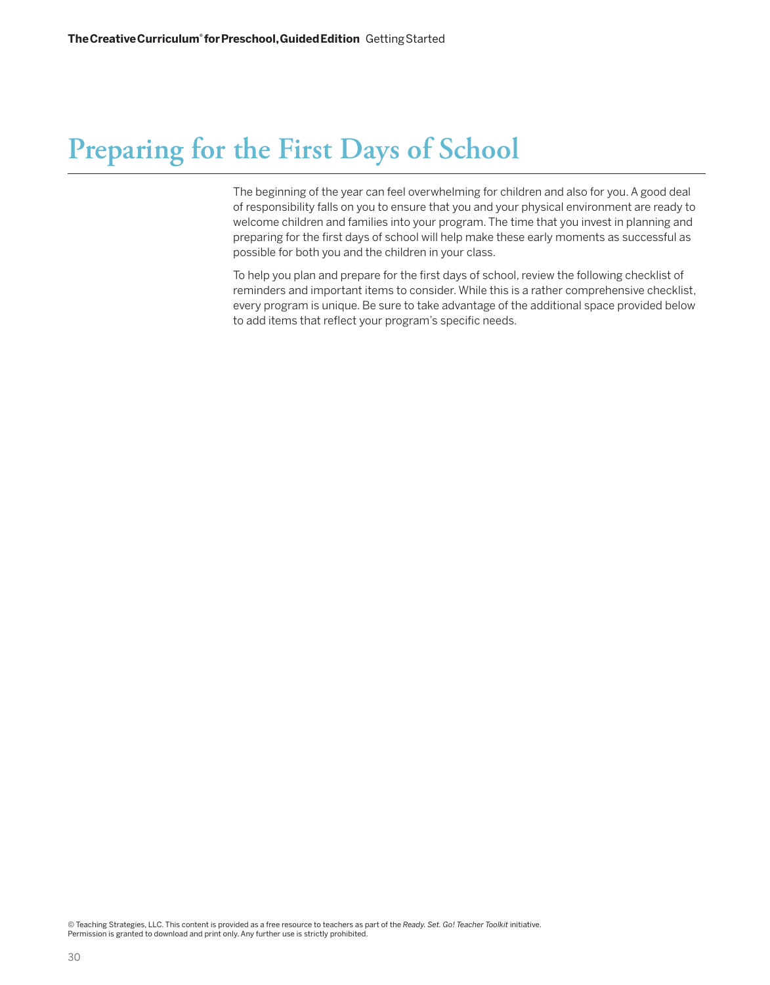# **Preparing for the First Days of School**

The beginning of the year can feel overwhelming for children and also for you. A good deal of responsibility falls on you to ensure that you and your physical environment are ready to welcome children and families into your program. The time that you invest in planning and preparing for the first days of school will help make these early moments as successful as possible for both you and the children in your class.

To help you plan and prepare for the first days of school, review the following checklist of reminders and important items to consider. While this is a rather comprehensive checklist, every program is unique. Be sure to take advantage of the additional space provided below to add items that reflect your program's specific needs.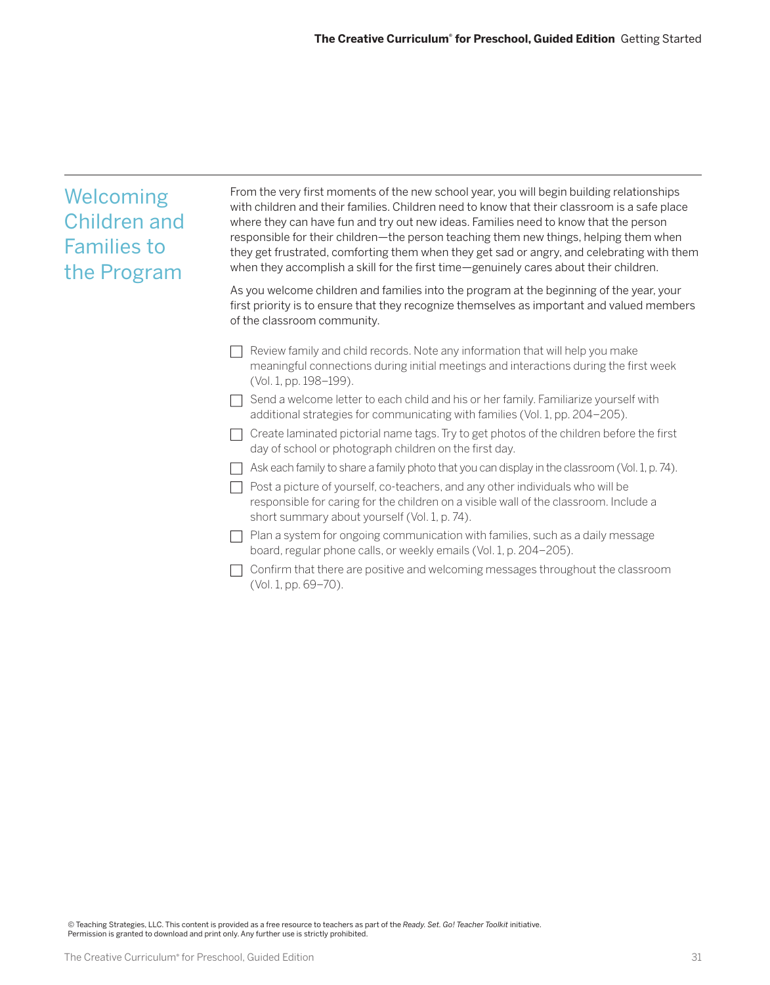# Welcoming Children and Families to the Program From the very first moments of the new school year, you will begin building relationships with children and their families. Children need to know that their classroom is a safe place where they can have fun and try out new ideas. Families need to know that the person responsible for their children—the person teaching them new things, helping them when they get frustrated, comforting them when they get sad or angry, and celebrating with them when they accomplish a skill for the first time—genuinely cares about their children. As you welcome children and families into the program at the beginning of the year, your first priority is to ensure that they recognize themselves as important and valued members of the classroom community.  $\Box$  Review family and child records. Note any information that will help you make meaningful connections during initial meetings and interactions during the first week (Vol. 1, pp. 198–199).  $\Box$  Send a welcome letter to each child and his or her family. Familiarize yourself with additional strategies for communicating with families (Vol. 1, pp. 204–205).  $\Box$  Create laminated pictorial name tags. Try to get photos of the children before the first day of school or photograph children on the first day.  $\Box$  Ask each family to share a family photo that you can display in the classroom (Vol. 1, p. 74).  $\Box$  Post a picture of yourself, co-teachers, and any other individuals who will be responsible for caring for the children on a visible wall of the classroom. Include a short summary about yourself (Vol. 1, p. 74).  $\Box$  Plan a system for ongoing communication with families, such as a daily message board, regular phone calls, or weekly emails (Vol. 1, p. 204–205).

 $\Box$  Confirm that there are positive and welcoming messages throughout the classroom (Vol. 1, pp. 69–70).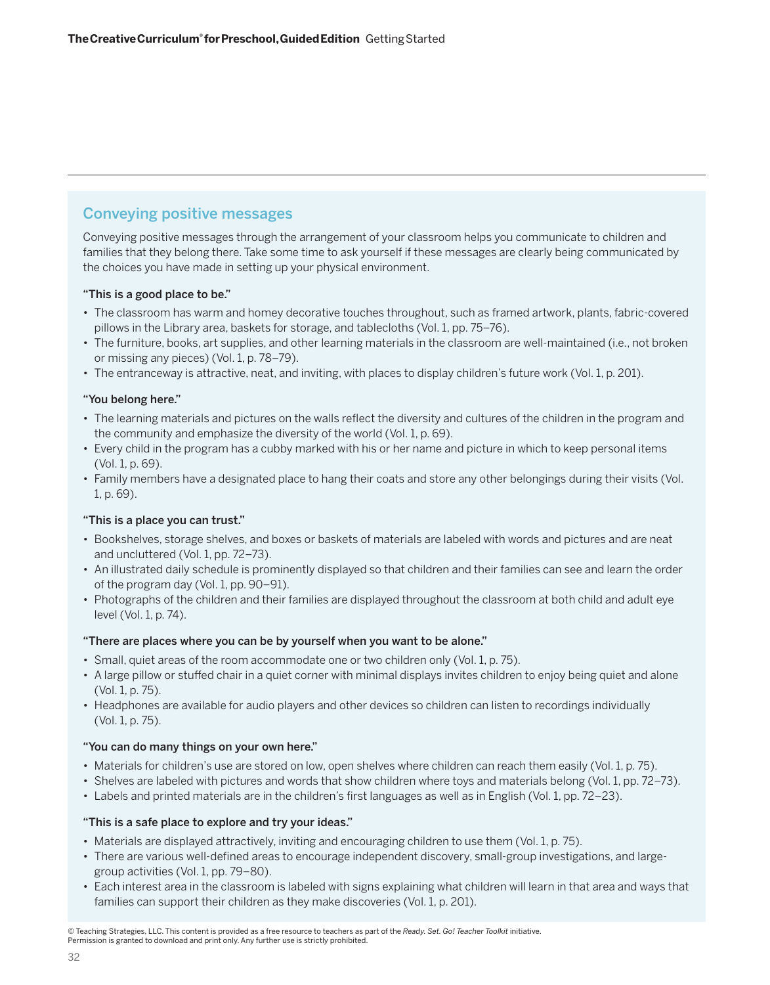# Conveying positive messages

Conveying positive messages through the arrangement of your classroom helps you communicate to children and families that they belong there. Take some time to ask yourself if these messages are clearly being communicated by the choices you have made in setting up your physical environment.

## "This is a good place to be."

- The classroom has warm and homey decorative touches throughout, such as framed artwork, plants, fabric-covered pillows in the Library area, baskets for storage, and tablecloths (Vol. 1, pp. 75–76).
- The furniture, books, art supplies, and other learning materials in the classroom are well-maintained (i.e., not broken or missing any pieces) (Vol. 1, p. 78–79).
- The entranceway is attractive, neat, and inviting, with places to display children's future work (Vol. 1, p. 201).

## "You belong here."

- The learning materials and pictures on the walls reflect the diversity and cultures of the children in the program and the community and emphasize the diversity of the world (Vol. 1, p. 69).
- Every child in the program has a cubby marked with his or her name and picture in which to keep personal items (Vol. 1, p. 69).
- Family members have a designated place to hang their coats and store any other belongings during their visits (Vol. 1, p. 69).

## "This is a place you can trust."

- Bookshelves, storage shelves, and boxes or baskets of materials are labeled with words and pictures and are neat and uncluttered (Vol. 1, pp. 72–73).
- An illustrated daily schedule is prominently displayed so that children and their families can see and learn the order of the program day (Vol. 1, pp. 90–91).
- Photographs of the children and their families are displayed throughout the classroom at both child and adult eye level (Vol. 1, p. 74).

### "There are places where you can be by yourself when you want to be alone."

- Small, quiet areas of the room accommodate one or two children only (Vol. 1, p. 75).
- A large pillow or stuffed chair in a quiet corner with minimal displays invites children to enjoy being quiet and alone (Vol. 1, p. 75).
- Headphones are available for audio players and other devices so children can listen to recordings individually (Vol. 1, p. 75).

### "You can do many things on your own here."

- Materials for children's use are stored on low, open shelves where children can reach them easily (Vol. 1, p. 75).
- Shelves are labeled with pictures and words that show children where toys and materials belong (Vol. 1, pp. 72–73).
- Labels and printed materials are in the children's first languages as well as in English (Vol. 1, pp. 72–23).

### "This is a safe place to explore and try your ideas."

- Materials are displayed attractively, inviting and encouraging children to use them (Vol. 1, p. 75).
- There are various well-defined areas to encourage independent discovery, small-group investigations, and largegroup activities (Vol. 1, pp. 79–80).
- Each interest area in the classroom is labeled with signs explaining what children will learn in that area and ways that families can support their children as they make discoveries (Vol. 1, p. 201).

<sup>©</sup> Teaching Strategies, LLC. This content is provided as a free resource to teachers as part of the *Ready. Set. Go! Teacher Toolkit* initiative. Permission is granted to download and print only. Any further use is strictly prohibited.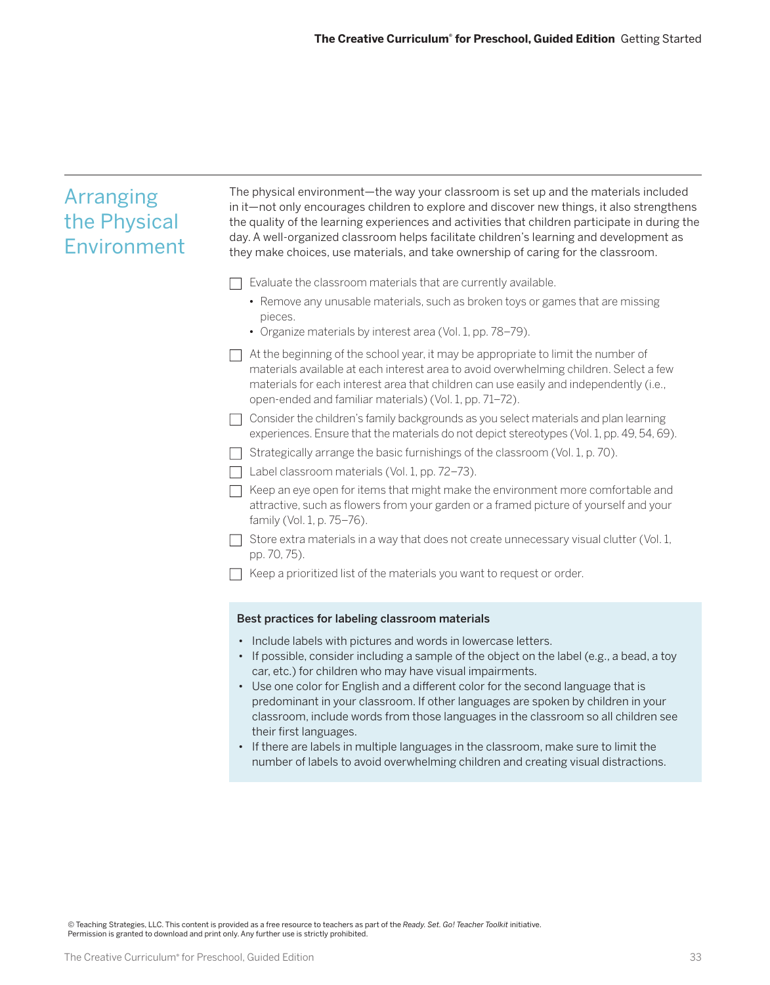| <b>Arranging</b><br>the Physical<br>Environment | The physical environment—the way your classroom is set up and the materials included<br>in it—not only encourages children to explore and discover new things, it also strengthens<br>the quality of the learning experiences and activities that children participate in during the<br>day. A well-organized classroom helps facilitate children's learning and development as<br>they make choices, use materials, and take ownership of caring for the classroom.                                                                                                                                                                                                                           |
|-------------------------------------------------|------------------------------------------------------------------------------------------------------------------------------------------------------------------------------------------------------------------------------------------------------------------------------------------------------------------------------------------------------------------------------------------------------------------------------------------------------------------------------------------------------------------------------------------------------------------------------------------------------------------------------------------------------------------------------------------------|
|                                                 | Evaluate the classroom materials that are currently available.                                                                                                                                                                                                                                                                                                                                                                                                                                                                                                                                                                                                                                 |
|                                                 | • Remove any unusable materials, such as broken toys or games that are missing<br>pieces.                                                                                                                                                                                                                                                                                                                                                                                                                                                                                                                                                                                                      |
|                                                 | • Organize materials by interest area (Vol. 1, pp. 78-79).                                                                                                                                                                                                                                                                                                                                                                                                                                                                                                                                                                                                                                     |
|                                                 | At the beginning of the school year, it may be appropriate to limit the number of<br>materials available at each interest area to avoid overwhelming children. Select a few<br>materials for each interest area that children can use easily and independently (i.e.,<br>open-ended and familiar materials) (Vol. 1, pp. 71-72).                                                                                                                                                                                                                                                                                                                                                               |
|                                                 | Consider the children's family backgrounds as you select materials and plan learning<br>experiences. Ensure that the materials do not depict stereotypes (Vol. 1, pp. 49, 54, 69).                                                                                                                                                                                                                                                                                                                                                                                                                                                                                                             |
|                                                 | Strategically arrange the basic furnishings of the classroom (Vol. 1, p. 70).                                                                                                                                                                                                                                                                                                                                                                                                                                                                                                                                                                                                                  |
|                                                 | Label classroom materials (Vol. 1, pp. 72-73).                                                                                                                                                                                                                                                                                                                                                                                                                                                                                                                                                                                                                                                 |
|                                                 | Keep an eye open for items that might make the environment more comfortable and<br>attractive, such as flowers from your garden or a framed picture of yourself and your<br>family (Vol. 1, p. 75-76).                                                                                                                                                                                                                                                                                                                                                                                                                                                                                         |
|                                                 | Store extra materials in a way that does not create unnecessary visual clutter (Vol. 1,<br>pp. 70, 75).                                                                                                                                                                                                                                                                                                                                                                                                                                                                                                                                                                                        |
|                                                 | Keep a prioritized list of the materials you want to request or order.                                                                                                                                                                                                                                                                                                                                                                                                                                                                                                                                                                                                                         |
|                                                 | Best practices for labeling classroom materials                                                                                                                                                                                                                                                                                                                                                                                                                                                                                                                                                                                                                                                |
|                                                 | • Include labels with pictures and words in lowercase letters.<br>• If possible, consider including a sample of the object on the label (e.g., a bead, a toy<br>car, etc.) for children who may have visual impairments.<br>• Use one color for English and a different color for the second language that is<br>predominant in your classroom. If other languages are spoken by children in your<br>classroom, include words from those languages in the classroom so all children see<br>their first languages.<br>• If there are labels in multiple languages in the classroom, make sure to limit the<br>number of labels to avoid overwhelming children and creating visual distractions. |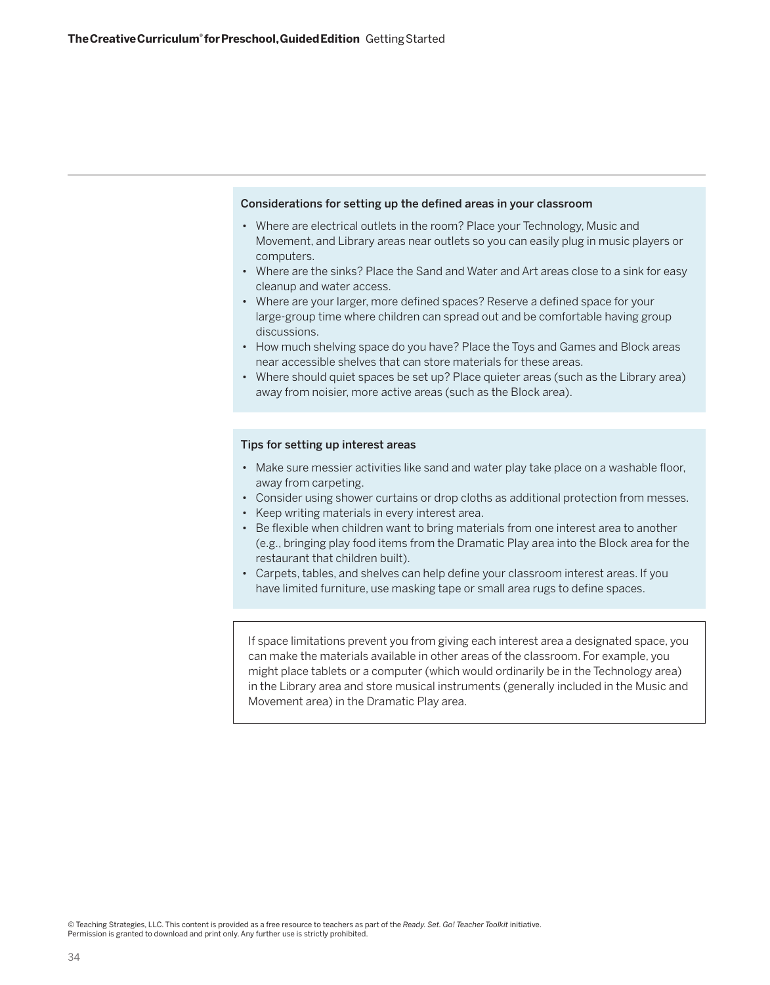#### Considerations for setting up the defined areas in your classroom

- Where are electrical outlets in the room? Place your Technology, Music and Movement, and Library areas near outlets so you can easily plug in music players or computers.
- Where are the sinks? Place the Sand and Water and Art areas close to a sink for easy cleanup and water access.
- Where are your larger, more defined spaces? Reserve a defined space for your large-group time where children can spread out and be comfortable having group discussions.
- How much shelving space do you have? Place the Toys and Games and Block areas near accessible shelves that can store materials for these areas.
- Where should quiet spaces be set up? Place quieter areas (such as the Library area) away from noisier, more active areas (such as the Block area).

### Tips for setting up interest areas

- Make sure messier activities like sand and water play take place on a washable floor, away from carpeting.
- Consider using shower curtains or drop cloths as additional protection from messes.
- Keep writing materials in every interest area.
- Be flexible when children want to bring materials from one interest area to another (e.g., bringing play food items from the Dramatic Play area into the Block area for the restaurant that children built).
- Carpets, tables, and shelves can help define your classroom interest areas. If you have limited furniture, use masking tape or small area rugs to define spaces.

If space limitations prevent you from giving each interest area a designated space, you can make the materials available in other areas of the classroom. For example, you might place tablets or a computer (which would ordinarily be in the Technology area) in the Library area and store musical instruments (generally included in the Music and Movement area) in the Dramatic Play area.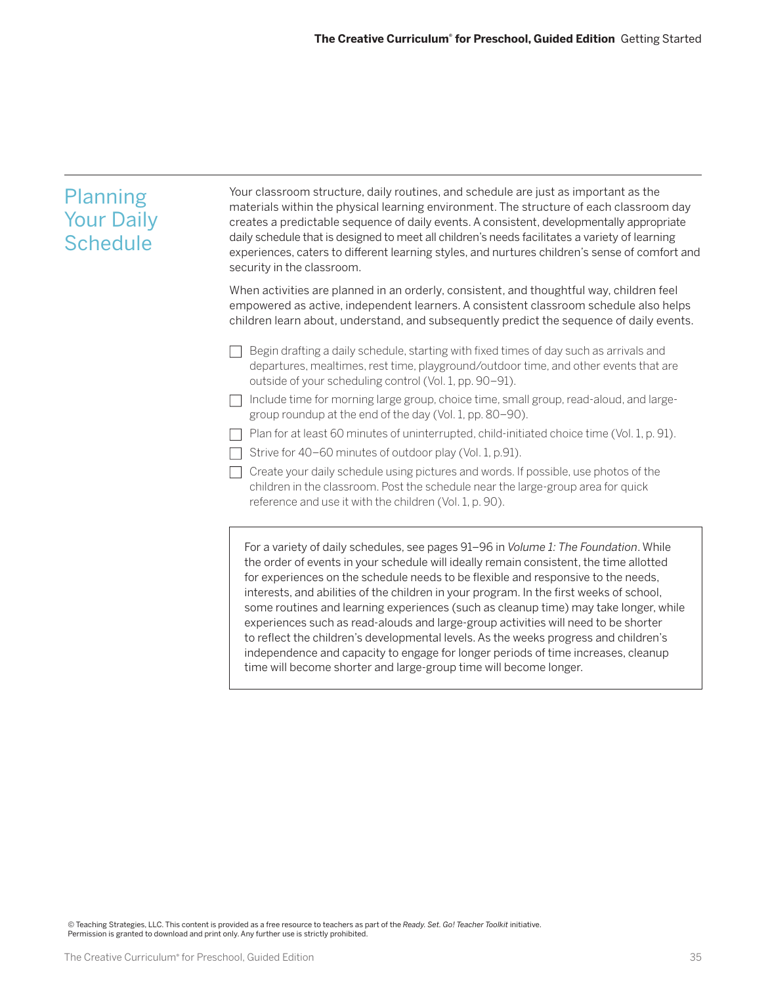| Planning<br><b>Your Daily</b><br><b>Schedule</b> | Your classroom structure, daily routines, and schedule are just as important as the<br>materials within the physical learning environment. The structure of each classroom day<br>creates a predictable sequence of daily events. A consistent, developmentally appropriate<br>daily schedule that is designed to meet all children's needs facilitates a variety of learning<br>experiences, caters to different learning styles, and nurtures children's sense of comfort and<br>security in the classroom.                                                                                                                        |
|--------------------------------------------------|--------------------------------------------------------------------------------------------------------------------------------------------------------------------------------------------------------------------------------------------------------------------------------------------------------------------------------------------------------------------------------------------------------------------------------------------------------------------------------------------------------------------------------------------------------------------------------------------------------------------------------------|
|                                                  | When activities are planned in an orderly, consistent, and thoughtful way, children feel<br>empowered as active, independent learners. A consistent classroom schedule also helps<br>children learn about, understand, and subsequently predict the sequence of daily events.                                                                                                                                                                                                                                                                                                                                                        |
|                                                  | Begin drafting a daily schedule, starting with fixed times of day such as arrivals and<br>departures, mealtimes, rest time, playground/outdoor time, and other events that are<br>outside of your scheduling control (Vol. 1, pp. 90-91).                                                                                                                                                                                                                                                                                                                                                                                            |
|                                                  | Include time for morning large group, choice time, small group, read-aloud, and large-<br>group roundup at the end of the day (Vol. 1, pp. 80-90).                                                                                                                                                                                                                                                                                                                                                                                                                                                                                   |
|                                                  | Plan for at least 60 minutes of uninterrupted, child-initiated choice time (Vol. 1, p. 91).                                                                                                                                                                                                                                                                                                                                                                                                                                                                                                                                          |
|                                                  | Strive for 40-60 minutes of outdoor play (Vol. 1, p.91).                                                                                                                                                                                                                                                                                                                                                                                                                                                                                                                                                                             |
|                                                  | Create your daily schedule using pictures and words. If possible, use photos of the<br>children in the classroom. Post the schedule near the large-group area for quick<br>reference and use it with the children (Vol. 1, p. 90).                                                                                                                                                                                                                                                                                                                                                                                                   |
|                                                  | For a variety of daily schedules, see pages 91-96 in Volume 1: The Foundation. While<br>the order of events in your schedule will ideally remain consistent, the time allotted<br>for experiences on the schedule needs to be flexible and responsive to the needs,<br>interests, and abilities of the children in your program. In the first weeks of school,<br>some routines and learning experiences (such as cleanup time) may take longer, while<br>experiences such as read-alouds and large-group activities will need to be shorter<br>to reflect the children's developmental levels. As the weeks progress and children's |

independence and capacity to engage for longer periods of time increases, cleanup

time will become shorter and large-group time will become longer.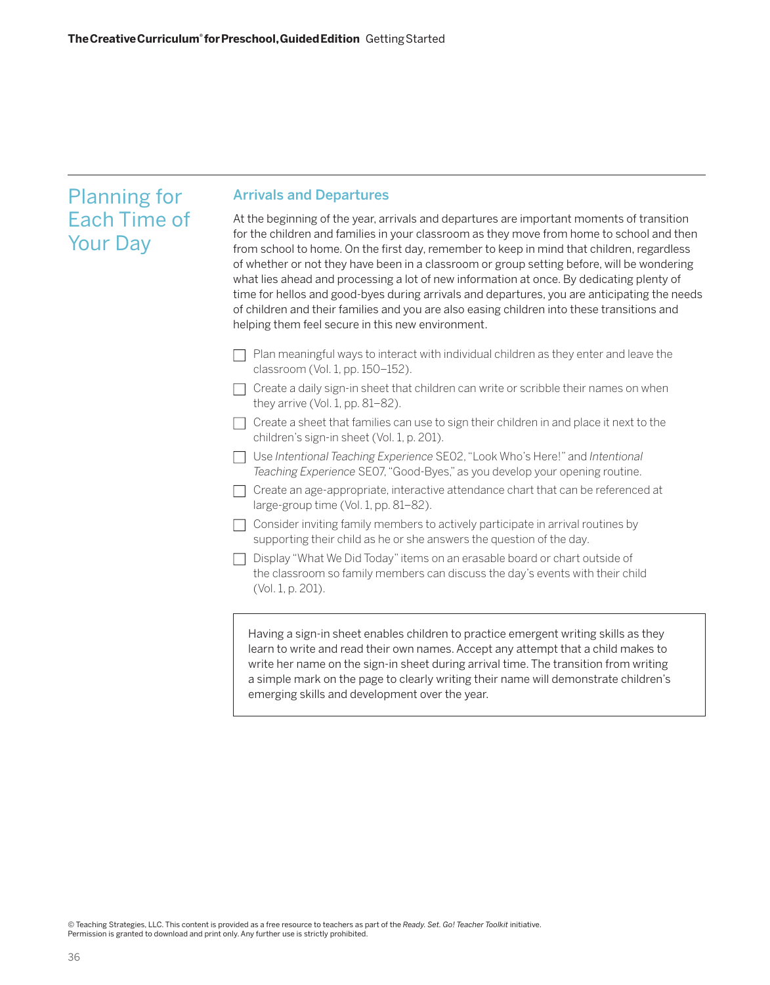# Planning for Each Time of Your Day

# Arrivals and Departures

At the beginning of the year, arrivals and departures are important moments of transition for the children and families in your classroom as they move from home to school and then from school to home. On the first day, remember to keep in mind that children, regardless of whether or not they have been in a classroom or group setting before, will be wondering what lies ahead and processing a lot of new information at once. By dedicating plenty of time for hellos and good-byes during arrivals and departures, you are anticipating the needs of children and their families and you are also easing children into these transitions and helping them feel secure in this new environment.

- $\Box$  Plan meaningful ways to interact with individual children as they enter and leave the classroom (Vol. 1, pp. 150–152).
- $\Box$  Create a daily sign-in sheet that children can write or scribble their names on when they arrive (Vol. 1, pp. 81–82).
- $\Box$  Create a sheet that families can use to sign their children in and place it next to the children's sign-in sheet (Vol. 1, p. 201).
- Use *Intentional Teaching Experience* SE02, "Look Who's Here!" and *Intentional Teaching Experience* SE07, "Good-Byes," as you develop your opening routine.
- $\Box$  Create an age-appropriate, interactive attendance chart that can be referenced at large-group time (Vol. 1, pp. 81–82).
- $\Box$  Consider inviting family members to actively participate in arrival routines by supporting their child as he or she answers the question of the day.
- $\Box$  Display "What We Did Today" items on an erasable board or chart outside of the classroom so family members can discuss the day's events with their child (Vol. 1, p. 201).

Having a sign-in sheet enables children to practice emergent writing skills as they learn to write and read their own names. Accept any attempt that a child makes to write her name on the sign-in sheet during arrival time. The transition from writing a simple mark on the page to clearly writing their name will demonstrate children's emerging skills and development over the year.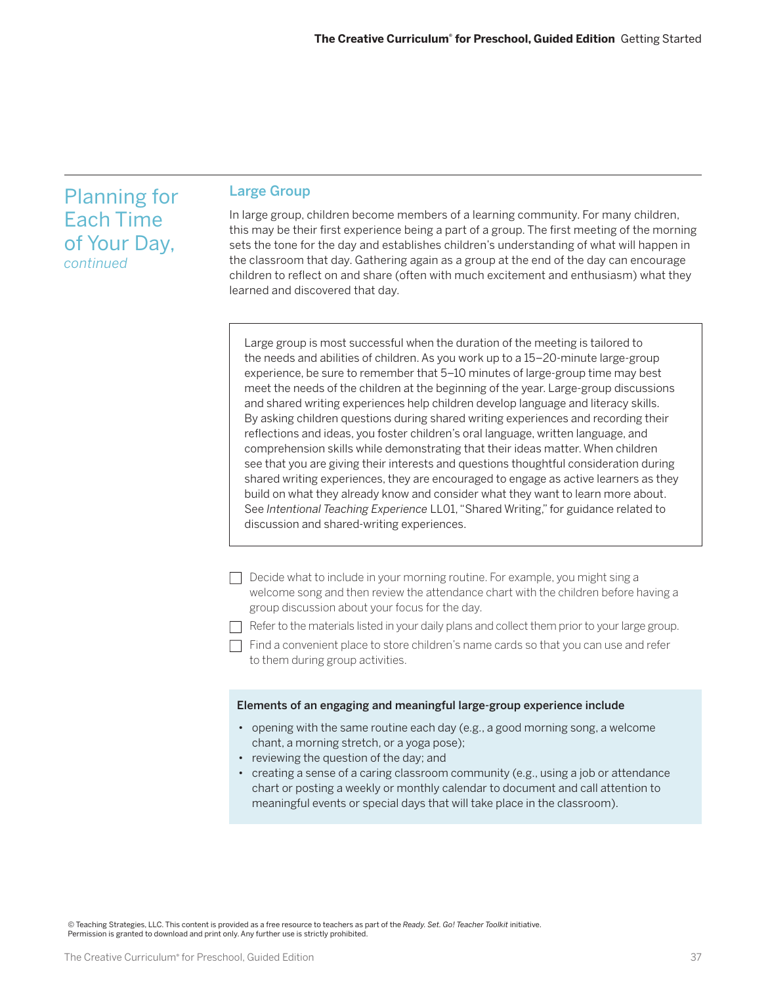# Planning for Each Time of Your Day, *continued*

## Large Group

In large group, children become members of a learning community. For many children, this may be their first experience being a part of a group. The first meeting of the morning sets the tone for the day and establishes children's understanding of what will happen in the classroom that day. Gathering again as a group at the end of the day can encourage children to reflect on and share (often with much excitement and enthusiasm) what they learned and discovered that day.

Large group is most successful when the duration of the meeting is tailored to the needs and abilities of children. As you work up to a 15–20-minute large-group experience, be sure to remember that 5–10 minutes of large-group time may best meet the needs of the children at the beginning of the year. Large-group discussions and shared writing experiences help children develop language and literacy skills. By asking children questions during shared writing experiences and recording their reflections and ideas, you foster children's oral language, written language, and comprehension skills while demonstrating that their ideas matter. When children see that you are giving their interests and questions thoughtful consideration during shared writing experiences, they are encouraged to engage as active learners as they build on what they already know and consider what they want to learn more about. See *Intentional Teaching Experience* LL01, "Shared Writing," for guidance related to discussion and shared-writing experiences.

- $\Box$  Decide what to include in your morning routine. For example, you might sing a welcome song and then review the attendance chart with the children before having a group discussion about your focus for the day.
- $\Box$  Refer to the materials listed in your daily plans and collect them prior to your large group.
- $\Box$  Find a convenient place to store children's name cards so that you can use and refer to them during group activities.

#### Elements of an engaging and meaningful large-group experience include

- opening with the same routine each day (e.g., a good morning song, a welcome chant, a morning stretch, or a yoga pose);
- reviewing the question of the day; and
- creating a sense of a caring classroom community (e.g., using a job or attendance chart or posting a weekly or monthly calendar to document and call attention to meaningful events or special days that will take place in the classroom).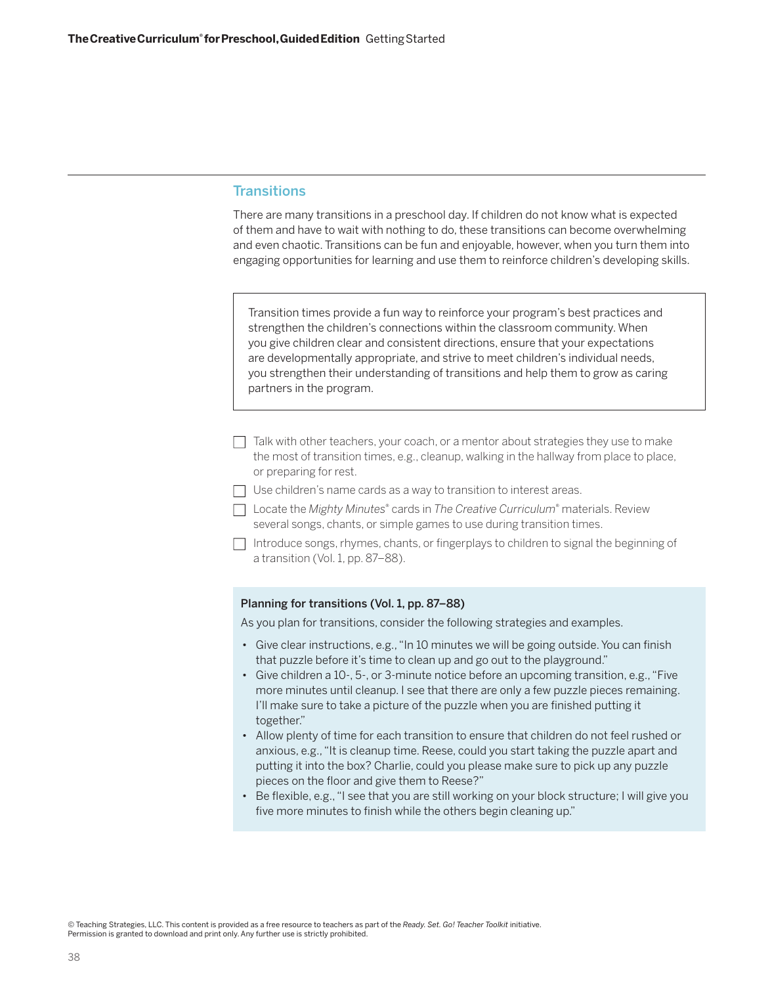# **Transitions**

There are many transitions in a preschool day. If children do not know what is expected of them and have to wait with nothing to do, these transitions can become overwhelming and even chaotic. Transitions can be fun and enjoyable, however, when you turn them into engaging opportunities for learning and use them to reinforce children's developing skills.

Transition times provide a fun way to reinforce your program's best practices and strengthen the children's connections within the classroom community. When you give children clear and consistent directions, ensure that your expectations are developmentally appropriate, and strive to meet children's individual needs, you strengthen their understanding of transitions and help them to grow as caring partners in the program.

- $\Box$  Talk with other teachers, your coach, or a mentor about strategies they use to make the most of transition times, e.g., cleanup, walking in the hallway from place to place, or preparing for rest.
- $\Box$  Use children's name cards as a way to transition to interest areas.
- □ Locate the *Mighty Minutes*® cards in *The Creative Curriculum*® materials. Review several songs, chants, or simple games to use during transition times.
- $\Box$  Introduce songs, rhymes, chants, or fingerplays to children to signal the beginning of a transition (Vol. 1, pp. 87–88).

#### Planning for transitions (Vol. 1, pp. 87–88)

As you plan for transitions, consider the following strategies and examples.

- Give clear instructions, e.g., "In 10 minutes we will be going outside. You can finish that puzzle before it's time to clean up and go out to the playground."
- Give children a 10-, 5-, or 3-minute notice before an upcoming transition, e.g., "Five more minutes until cleanup. I see that there are only a few puzzle pieces remaining. I'll make sure to take a picture of the puzzle when you are finished putting it together."
- Allow plenty of time for each transition to ensure that children do not feel rushed or anxious, e.g., "It is cleanup time. Reese, could you start taking the puzzle apart and putting it into the box? Charlie, could you please make sure to pick up any puzzle pieces on the floor and give them to Reese?"
- Be flexible, e.g., "I see that you are still working on your block structure; I will give you five more minutes to finish while the others begin cleaning up."

<sup>©</sup> Teaching Strategies, LLC. This content is provided as a free resource to teachers as part of the *Ready. Set. Go! Teacher Toolkit* initiative. Permission is granted to download and print only. Any further use is strictly prohibited.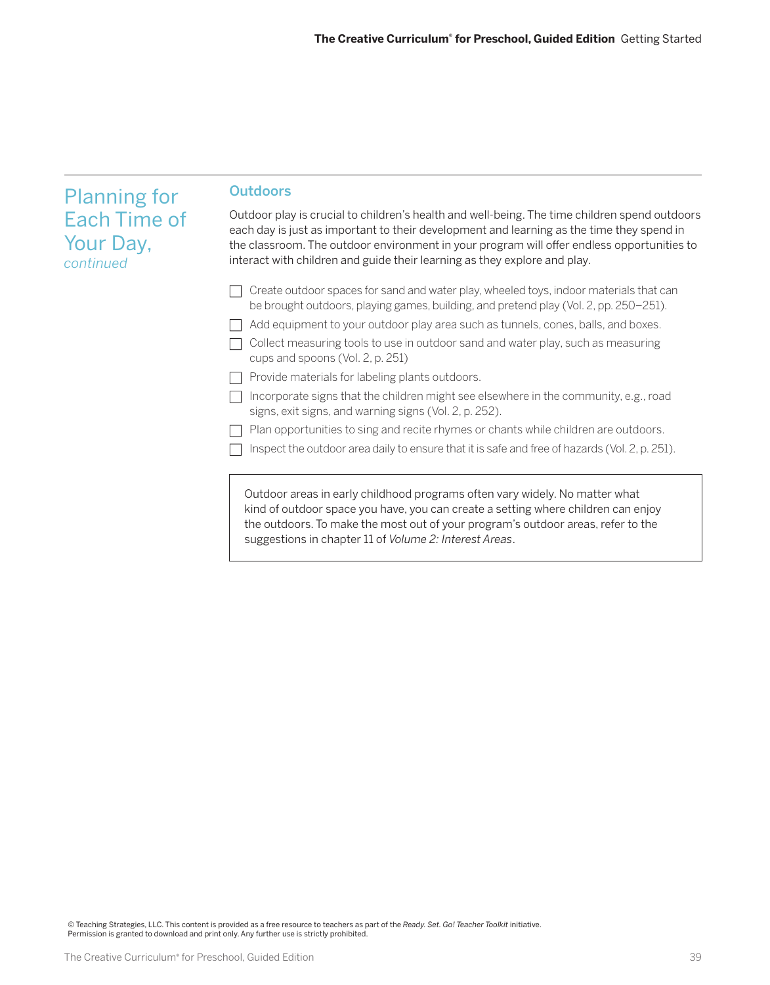| <b>Planning for</b><br><b>Each Time of</b><br>Your Day,<br>continued | <b>Outdoors</b>                                                                                                                                                                                                                                                                                                                                                       |
|----------------------------------------------------------------------|-----------------------------------------------------------------------------------------------------------------------------------------------------------------------------------------------------------------------------------------------------------------------------------------------------------------------------------------------------------------------|
|                                                                      | Outdoor play is crucial to children's health and well-being. The time children spend outdoors<br>each day is just as important to their development and learning as the time they spend in<br>the classroom. The outdoor environment in your program will offer endless opportunities to<br>interact with children and guide their learning as they explore and play. |
|                                                                      | Create outdoor spaces for sand and water play, wheeled toys, indoor materials that can<br>be brought outdoors, playing games, building, and pretend play (Vol. 2, pp. 250–251).                                                                                                                                                                                       |
|                                                                      | Add equipment to your outdoor play area such as tunnels, cones, balls, and boxes.                                                                                                                                                                                                                                                                                     |
|                                                                      | Collect measuring tools to use in outdoor sand and water play, such as measuring<br>cups and spoons (Vol. 2, p. 251)                                                                                                                                                                                                                                                  |
|                                                                      | Provide materials for labeling plants outdoors.                                                                                                                                                                                                                                                                                                                       |
|                                                                      | Incorporate signs that the children might see elsewhere in the community, e.g., road<br>signs, exit signs, and warning signs (Vol. 2, p. 252).                                                                                                                                                                                                                        |
|                                                                      | Plan opportunities to sing and recite rhymes or chants while children are outdoors.                                                                                                                                                                                                                                                                                   |
|                                                                      | Inspect the outdoor area daily to ensure that it is safe and free of hazards (Vol. 2, p. 251).                                                                                                                                                                                                                                                                        |
|                                                                      | Outdoor areas in early childhood programs often vary widely. No matter what<br>kind of outdoor space you have, you can create a setting where children can enjoy<br>the outdoors. To make the most out of your program's outdoor areas, refer to the<br>suggestions in chapter 11 of Volume 2: Interest Areas.                                                        |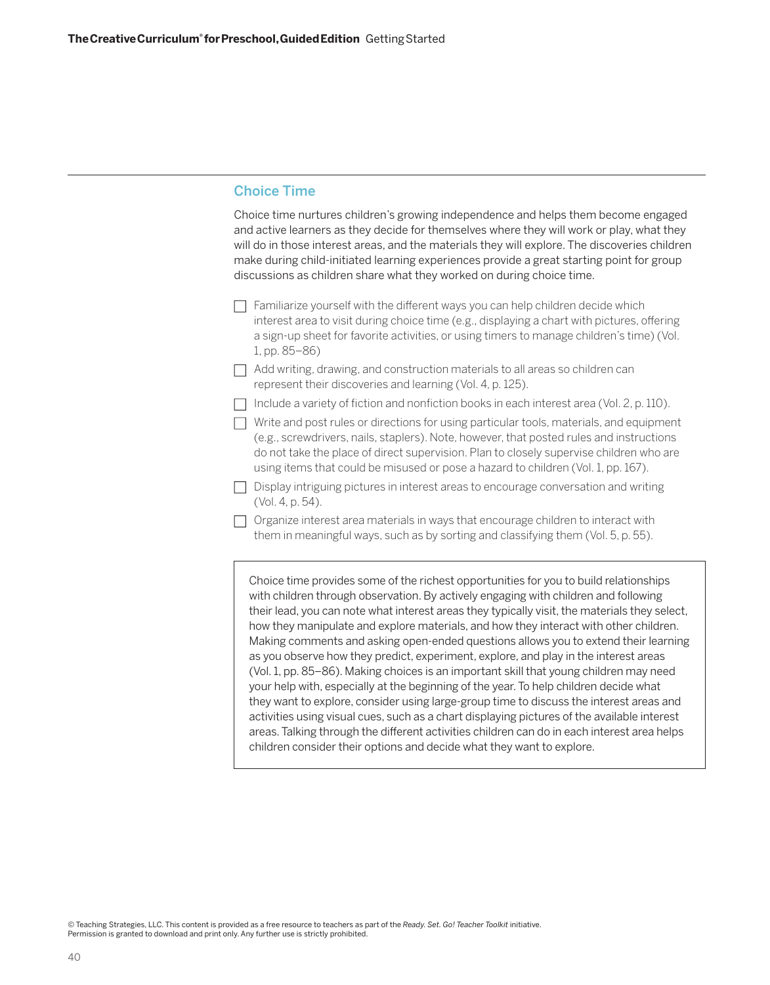# Choice Time

Choice time nurtures children's growing independence and helps them become engaged and active learners as they decide for themselves where they will work or play, what they will do in those interest areas, and the materials they will explore. The discoveries children make during child-initiated learning experiences provide a great starting point for group discussions as children share what they worked on during choice time.

- $\Box$  Familiarize yourself with the different ways you can help children decide which interest area to visit during choice time (e.g., displaying a chart with pictures, offering a sign-up sheet for favorite activities, or using timers to manage children's time) (Vol. 1, pp. 85–86)
- $\Box$  Add writing, drawing, and construction materials to all areas so children can represent their discoveries and learning (Vol. 4, p. 125).
- $\Box$  Include a variety of fiction and nonfiction books in each interest area (Vol. 2, p. 110).
- $\Box$  Write and post rules or directions for using particular tools, materials, and equipment (e.g., screwdrivers, nails, staplers). Note, however, that posted rules and instructions do not take the place of direct supervision. Plan to closely supervise children who are using items that could be misused or pose a hazard to children (Vol. 1, pp. 167).
- $\Box$  Display intriguing pictures in interest areas to encourage conversation and writing (Vol. 4, p. 54).
- $\Box$  Organize interest area materials in ways that encourage children to interact with them in meaningful ways, such as by sorting and classifying them (Vol. 5, p. 55).

Choice time provides some of the richest opportunities for you to build relationships with children through observation. By actively engaging with children and following their lead, you can note what interest areas they typically visit, the materials they select, how they manipulate and explore materials, and how they interact with other children. Making comments and asking open-ended questions allows you to extend their learning as you observe how they predict, experiment, explore, and play in the interest areas (Vol. 1, pp. 85–86). Making choices is an important skill that young children may need your help with, especially at the beginning of the year. To help children decide what they want to explore, consider using large-group time to discuss the interest areas and activities using visual cues, such as a chart displaying pictures of the available interest areas. Talking through the different activities children can do in each interest area helps children consider their options and decide what they want to explore.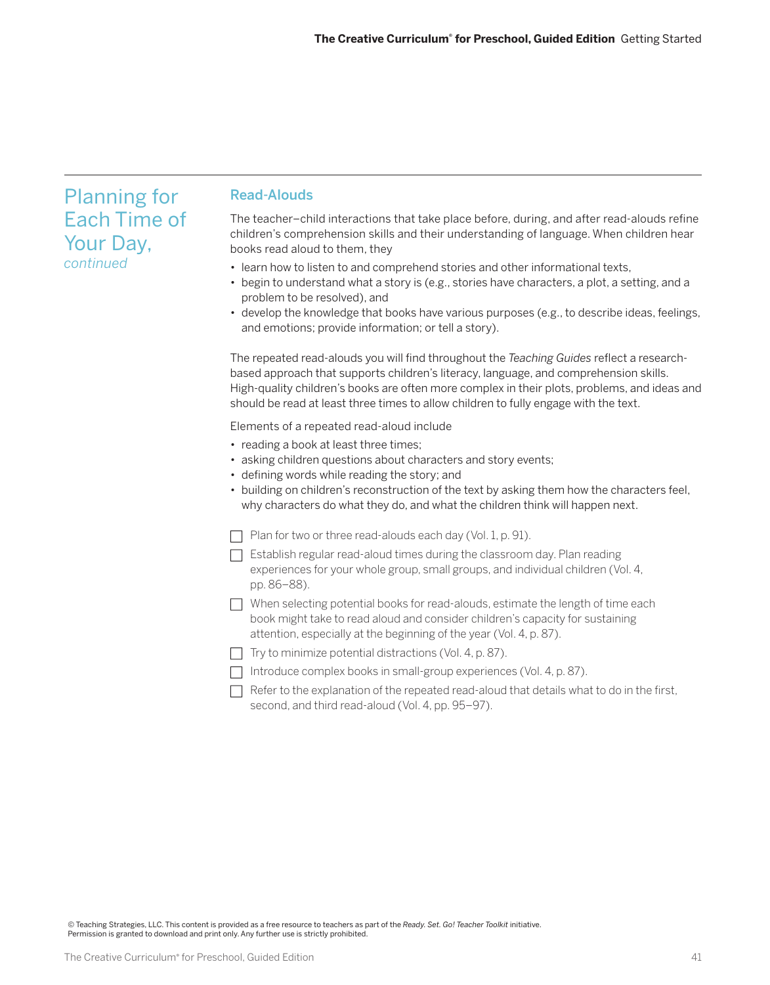# Planning for Each Time of Your Day, *continued*

## Read-Alouds

The teacher–child interactions that take place before, during, and after read-alouds refine children's comprehension skills and their understanding of language. When children hear books read aloud to them, they

- learn how to listen to and comprehend stories and other informational texts,
- begin to understand what a story is (e.g., stories have characters, a plot, a setting, and a problem to be resolved), and
- develop the knowledge that books have various purposes (e.g., to describe ideas, feelings, and emotions; provide information; or tell a story).

The repeated read-alouds you will find throughout the *Teaching Guides* reflect a researchbased approach that supports children's literacy, language, and comprehension skills. High-quality children's books are often more complex in their plots, problems, and ideas and should be read at least three times to allow children to fully engage with the text.

Elements of a repeated read-aloud include

- reading a book at least three times;
- asking children questions about characters and story events;
- defining words while reading the story; and
- building on children's reconstruction of the text by asking them how the characters feel, why characters do what they do, and what the children think will happen next.
- $\Box$  Plan for two or three read-alouds each day (Vol. 1, p. 91).
- $\Box$  Establish regular read-aloud times during the classroom day. Plan reading experiences for your whole group, small groups, and individual children (Vol. 4, pp. 86–88).
- $\Box$  When selecting potential books for read-alouds, estimate the length of time each book might take to read aloud and consider children's capacity for sustaining attention, especially at the beginning of the year (Vol. 4, p. 87).
- $\Box$  Try to minimize potential distractions (Vol. 4, p. 87).
- $\Box$  Introduce complex books in small-group experiences (Vol. 4, p. 87).
- $\Box$  Refer to the explanation of the repeated read-aloud that details what to do in the first, second, and third read-aloud (Vol. 4, pp. 95–97).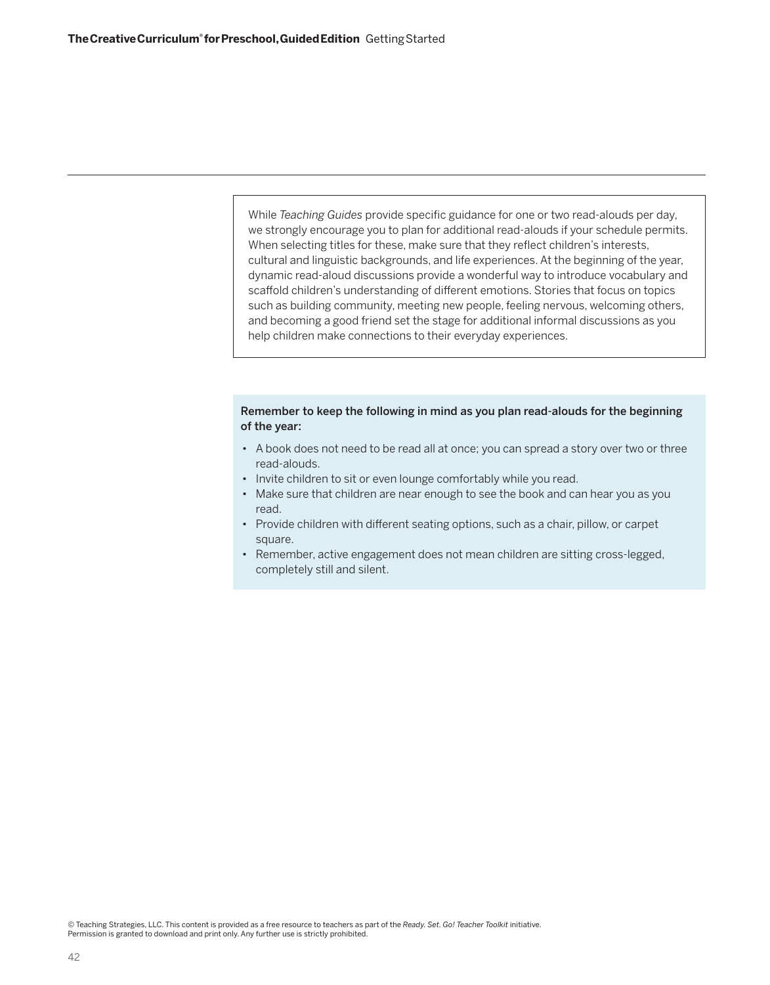While *Teaching Guides* provide specific guidance for one or two read-alouds per day, we strongly encourage you to plan for additional read-alouds if your schedule permits. When selecting titles for these, make sure that they reflect children's interests, cultural and linguistic backgrounds, and life experiences. At the beginning of the year, dynamic read-aloud discussions provide a wonderful way to introduce vocabulary and scaffold children's understanding of different emotions. Stories that focus on topics such as building community, meeting new people, feeling nervous, welcoming others, and becoming a good friend set the stage for additional informal discussions as you help children make connections to their everyday experiences.

### Remember to keep the following in mind as you plan read-alouds for the beginning of the year:

- A book does not need to be read all at once; you can spread a story over two or three read-alouds.
- Invite children to sit or even lounge comfortably while you read.
- Make sure that children are near enough to see the book and can hear you as you read.
- Provide children with different seating options, such as a chair, pillow, or carpet square.
- Remember, active engagement does not mean children are sitting cross-legged, completely still and silent.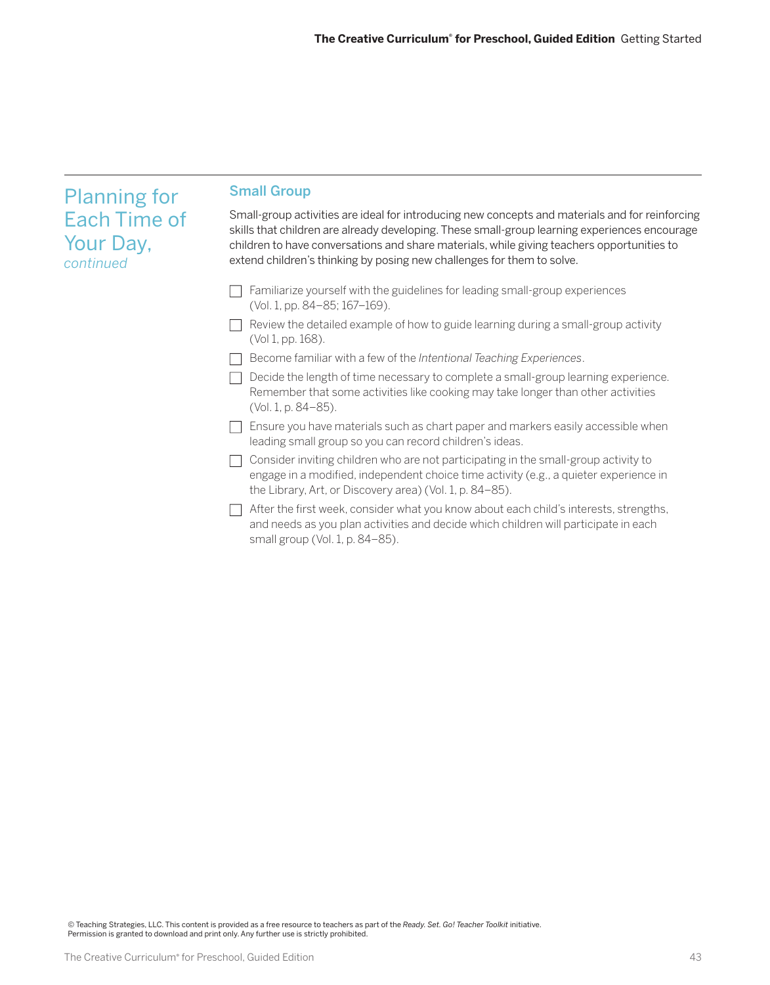| <b>Planning for</b>                           | <b>Small Group</b>                                                                                                                                                                                                                                                                                                                                                       |
|-----------------------------------------------|--------------------------------------------------------------------------------------------------------------------------------------------------------------------------------------------------------------------------------------------------------------------------------------------------------------------------------------------------------------------------|
| <b>Each Time of</b><br>Your Day,<br>continued | Small-group activities are ideal for introducing new concepts and materials and for reinforcing<br>skills that children are already developing. These small-group learning experiences encourage<br>children to have conversations and share materials, while giving teachers opportunities to<br>extend children's thinking by posing new challenges for them to solve. |
|                                               | Familiarize yourself with the guidelines for leading small-group experiences<br>(Vol. 1, pp. 84-85; 167-169).                                                                                                                                                                                                                                                            |
|                                               | Review the detailed example of how to guide learning during a small-group activity<br>(Vol 1, pp. 168).                                                                                                                                                                                                                                                                  |
|                                               | Become familiar with a few of the Intentional Teaching Experiences.                                                                                                                                                                                                                                                                                                      |
|                                               | Decide the length of time necessary to complete a small-group learning experience.<br>Remember that some activities like cooking may take longer than other activities<br>(Vol. 1, p. 84–85).                                                                                                                                                                            |
|                                               | Ensure you have materials such as chart paper and markers easily accessible when<br>leading small group so you can record children's ideas.                                                                                                                                                                                                                              |
|                                               | Consider inviting children who are not participating in the small-group activity to<br>engage in a modified, independent choice time activity (e.g., a quieter experience in<br>the Library, Art, or Discovery area) (Vol. 1, p. 84–85).                                                                                                                                 |
|                                               | After the first week, consider what you know about each child's interests, strengths,<br>and needs as you plan activities and decide which children will participate in each                                                                                                                                                                                             |

small group (Vol. 1, p. 84–85).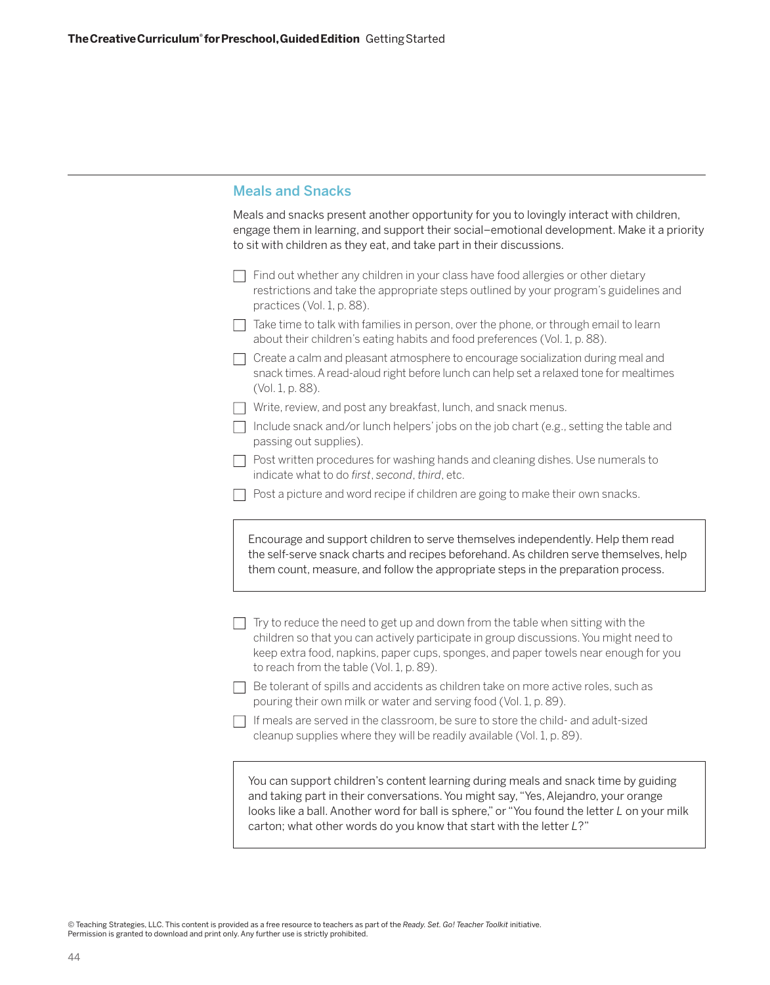# Meals and Snacks

Meals and snacks present another opportunity for you to lovingly interact with children, engage them in learning, and support their social–emotional development. Make it a priority to sit with children as they eat, and take part in their discussions.

- $\Box$  Find out whether any children in your class have food allergies or other dietary restrictions and take the appropriate steps outlined by your program's guidelines and practices (Vol. 1, p. 88).
- $\Box$  Take time to talk with families in person, over the phone, or through email to learn about their children's eating habits and food preferences (Vol. 1, p. 88).
- $\Box$  Create a calm and pleasant atmosphere to encourage socialization during meal and snack times. A read-aloud right before lunch can help set a relaxed tone for mealtimes (Vol. 1, p. 88).
- $\Box$  Write, review, and post any breakfast, lunch, and snack menus.
- $\Box$  Include snack and/or lunch helpers' jobs on the job chart (e.g., setting the table and passing out supplies).
- $\Box$  Post written procedures for washing hands and cleaning dishes. Use numerals to indicate what to do *first*, *second*, *third*, etc.
- $\Box$  Post a picture and word recipe if children are going to make their own snacks.

Encourage and support children to serve themselves independently. Help them read the self-serve snack charts and recipes beforehand. As children serve themselves, help them count, measure, and follow the appropriate steps in the preparation process.

- $\Box$  Try to reduce the need to get up and down from the table when sitting with the children so that you can actively participate in group discussions. You might need to keep extra food, napkins, paper cups, sponges, and paper towels near enough for you to reach from the table (Vol. 1, p. 89).
- $\Box$  Be tolerant of spills and accidents as children take on more active roles, such as pouring their own milk or water and serving food (Vol. 1, p. 89).
- $\Box$  If meals are served in the classroom, be sure to store the child- and adult-sized cleanup supplies where they will be readily available (Vol. 1, p. 89).

You can support children's content learning during meals and snack time by guiding and taking part in their conversations. You might say, "Yes, Alejandro, your orange looks like a ball. Another word for ball is sphere," or "You found the letter *L* on your milk carton; what other words do you know that start with the letter *L*?"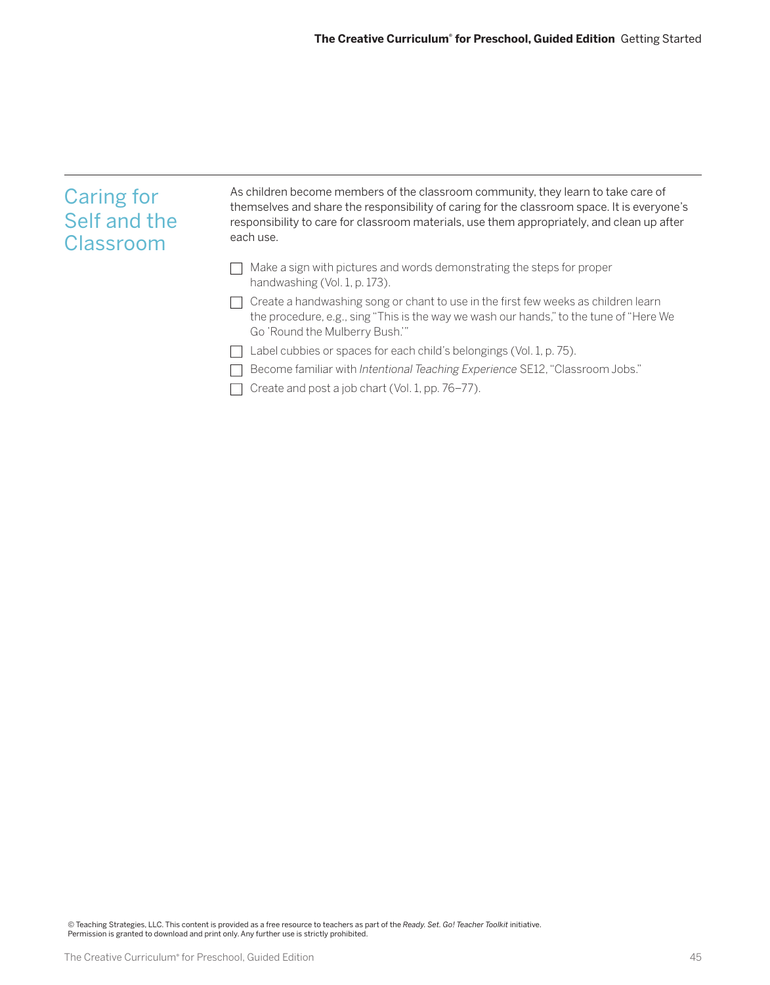| <b>Caring for</b><br>Self and the<br>Classroom | As children become members of the classroom community, they learn to take care of<br>themselves and share the responsibility of caring for the classroom space. It is everyone's<br>responsibility to care for classroom materials, use them appropriately, and clean up after<br>each use. |
|------------------------------------------------|---------------------------------------------------------------------------------------------------------------------------------------------------------------------------------------------------------------------------------------------------------------------------------------------|
|                                                | Make a sign with pictures and words demonstrating the steps for proper<br>handwashing (Vol. 1, p. 173).                                                                                                                                                                                     |
|                                                | Create a handwashing song or chant to use in the first few weeks as children learn<br>the procedure, e.g., sing "This is the way we wash our hands," to the tune of "Here We<br>Go 'Round the Mulberry Bush.'"                                                                              |
|                                                | abel cubbies or spaces for each child's belongings (Vol. 1, p. 75).                                                                                                                                                                                                                         |
|                                                | Become familiar with Intentional Teaching Experience SE12, "Classroom Jobs."                                                                                                                                                                                                                |
|                                                | Create and post a job chart (Vol. 1, pp. 76–77).                                                                                                                                                                                                                                            |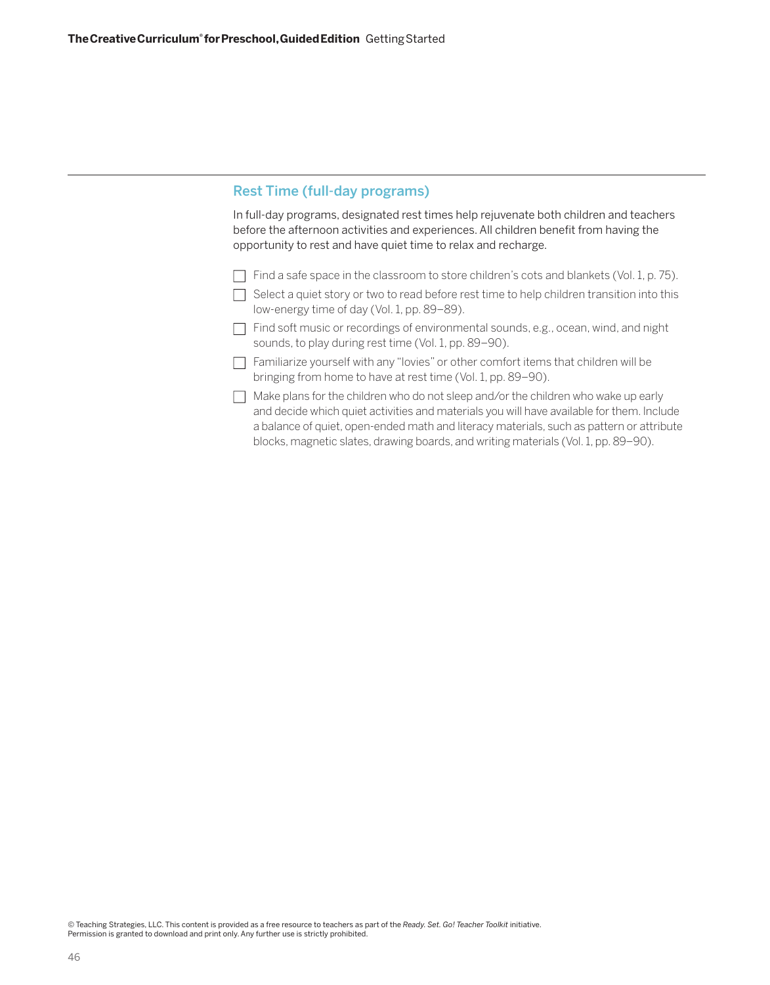# Rest Time (full-day programs)

In full-day programs, designated rest times help rejuvenate both children and teachers before the afternoon activities and experiences. All children benefit from having the opportunity to rest and have quiet time to relax and recharge.

- $\Box$  Find a safe space in the classroom to store children's cots and blankets (Vol. 1, p. 75).
- $\Box$  Select a quiet story or two to read before rest time to help children transition into this low-energy time of day (Vol. 1, pp. 89–89).
- $\Box$  Find soft music or recordings of environmental sounds, e.g., ocean, wind, and night sounds, to play during rest time (Vol. 1, pp. 89–90).
- $\Box$  Familiarize yourself with any "lovies" or other comfort items that children will be bringing from home to have at rest time (Vol. 1, pp. 89–90).
- $\Box$  Make plans for the children who do not sleep and/or the children who wake up early and decide which quiet activities and materials you will have available for them. Include a balance of quiet, open-ended math and literacy materials, such as pattern or attribute blocks, magnetic slates, drawing boards, and writing materials (Vol. 1, pp. 89–90).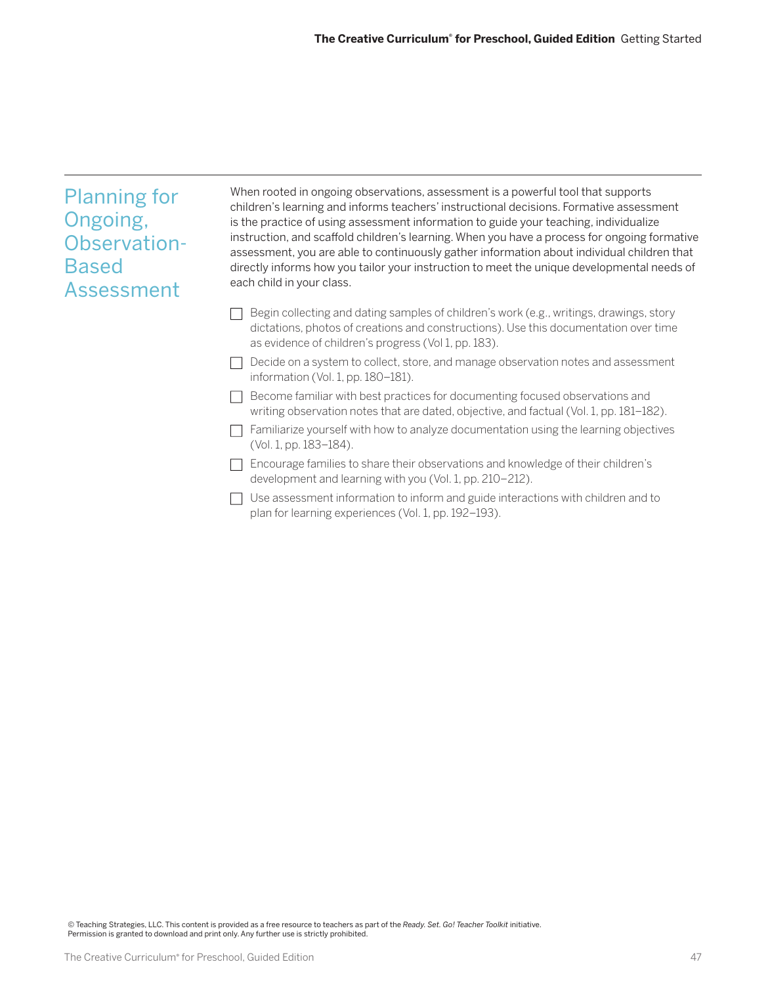| <b>Planning for</b><br>Ongoing,<br>Observation-<br><b>Based</b><br>Assessment | When rooted in ongoing observations, assessment is a powerful tool that supports<br>children's learning and informs teachers' instructional decisions. Formative assessment<br>is the practice of using assessment information to guide your teaching, individualize<br>instruction, and scaffold children's learning. When you have a process for ongoing formative<br>assessment, you are able to continuously gather information about individual children that<br>directly informs how you tailor your instruction to meet the unique developmental needs of<br>each child in your class. |
|-------------------------------------------------------------------------------|-----------------------------------------------------------------------------------------------------------------------------------------------------------------------------------------------------------------------------------------------------------------------------------------------------------------------------------------------------------------------------------------------------------------------------------------------------------------------------------------------------------------------------------------------------------------------------------------------|
|                                                                               | Begin collecting and dating samples of children's work (e.g., writings, drawings, story<br>dictations, photos of creations and constructions). Use this documentation over time<br>as evidence of children's progress (Vol 1, pp. 183).                                                                                                                                                                                                                                                                                                                                                       |
|                                                                               | Decide on a system to collect, store, and manage observation notes and assessment<br>information (Vol. 1, pp. 180-181).                                                                                                                                                                                                                                                                                                                                                                                                                                                                       |
|                                                                               | Become familiar with best practices for documenting focused observations and<br>writing observation notes that are dated, objective, and factual (Vol. 1, pp. 181–182).                                                                                                                                                                                                                                                                                                                                                                                                                       |
|                                                                               | Familiarize yourself with how to analyze documentation using the learning objectives<br>(Vol. 1, pp. 183-184).                                                                                                                                                                                                                                                                                                                                                                                                                                                                                |
|                                                                               | Encourage families to share their observations and knowledge of their children's<br>development and learning with you (Vol. 1, pp. 210–212).                                                                                                                                                                                                                                                                                                                                                                                                                                                  |
|                                                                               | Use assessment information to inform and guide interactions with children and to<br>plan for learning experiences (Vol. 1, pp. 192-193).                                                                                                                                                                                                                                                                                                                                                                                                                                                      |